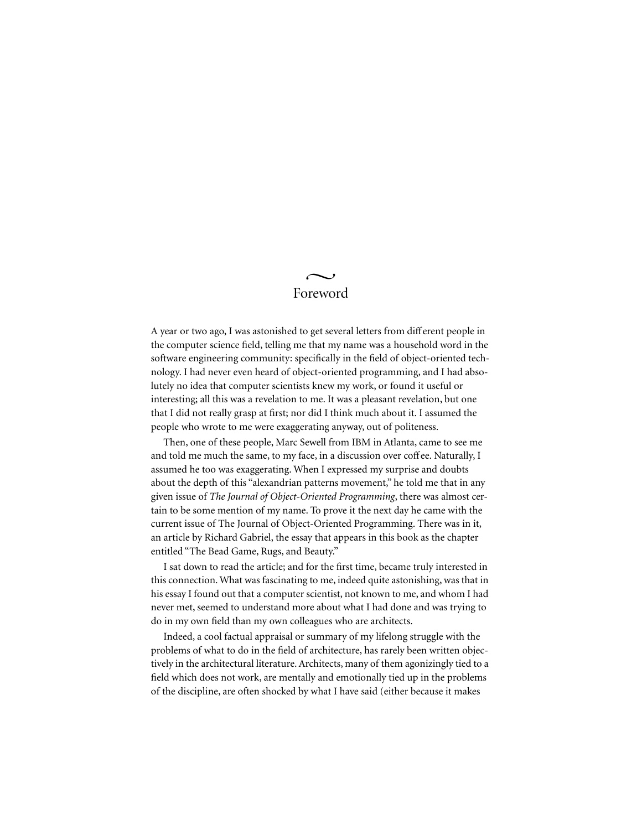## Foreword  $\sim$

A year or two ago, I was astonished to get several letters from different people in the computer science field, telling me that my name was a household word in the software engineering community: specifically in the field of object-oriented technology. I had never even heard of object-oriented programming, and I had absolutely no idea that computer scientists knew my work, or found it useful or interesting; all this was a revelation to me. It was a pleasant revelation, but one that I did not really grasp at first; nor did I think much about it. I assumed the people who wrote to me were exaggerating anyway, out of politeness.

Then, one of these people, Marc Sewell from IBM in Atlanta, came to see me and told me much the same, to my face, in a discussion over coffee. Naturally, I assumed he too was exaggerating. When I expressed my surprise and doubts about the depth of this "alexandrian patterns movement," he told me that in any given issue of *The Journal of Object-Oriented Programming*, there was almost certain to be some mention of my name. To prove it the next day he came with the current issue of The Journal of Object-Oriented Programming. There was in it, an article by Richard Gabriel, the essay that appears in this book as the chapter entitled "The Bead Game, Rugs, and Beauty."

I sat down to read the article; and for the first time, became truly interested in this connection. What was fascinating to me, indeed quite astonishing, was that in his essay I found out that a computer scientist, not known to me, and whom I had never met, seemed to understand more about what I had done and was trying to do in my own field than my own colleagues who are architects.

Indeed, a cool factual appraisal or summary of my lifelong struggle with the problems of what to do in the field of architecture, has rarely been written objectively in the architectural literature. Architects, many of them agonizingly tied to a field which does not work, are mentally and emotionally tied up in the problems of the discipline, are often shocked by what I have said (either because it makes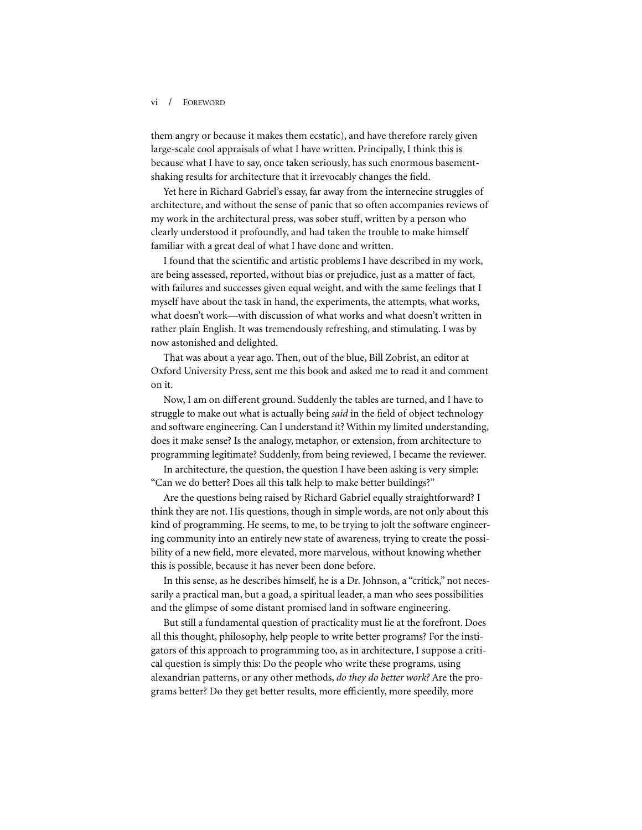## vi / FOREWORD

them angry or because it makes them ecstatic), and have therefore rarely given large-scale cool appraisals of what I have written. Principally, I think this is because what I have to say, once taken seriously, has such enormous basementshaking results for architecture that it irrevocably changes the field.

Yet here in Richard Gabriel's essay, far away from the internecine struggles of architecture, and without the sense of panic that so often accompanies reviews of my work in the architectural press, was sober stuff, written by a person who clearly understood it profoundly, and had taken the trouble to make himself familiar with a great deal of what I have done and written.

I found that the scientific and artistic problems I have described in my work, are being assessed, reported, without bias or prejudice, just as a matter of fact, with failures and successes given equal weight, and with the same feelings that I myself have about the task in hand, the experiments, the attempts, what works, what doesn't work—with discussion of what works and what doesn't written in rather plain English. It was tremendously refreshing, and stimulating. I was by now astonished and delighted.

That was about a year ago. Then, out of the blue, Bill Zobrist, an editor at Oxford University Press, sent me this book and asked me to read it and comment on it.

Now, I am on different ground. Suddenly the tables are turned, and I have to struggle to make out what is actually being *said* in the field of object technology and software engineering. Can I understand it? Within my limited understanding, does it make sense? Is the analogy, metaphor, or extension, from architecture to programming legitimate? Suddenly, from being reviewed, I became the reviewer.

In architecture, the question, the question I have been asking is very simple: "Can we do better? Does all this talk help to make better buildings?"

Are the questions being raised by Richard Gabriel equally straightforward? I think they are not. His questions, though in simple words, are not only about this kind of programming. He seems, to me, to be trying to jolt the software engineering community into an entirely new state of awareness, trying to create the possibility of a new field, more elevated, more marvelous, without knowing whether this is possible, because it has never been done before.

In this sense, as he describes himself, he is a Dr. Johnson, a "critick," not necessarily a practical man, but a goad, a spiritual leader, a man who sees possibilities and the glimpse of some distant promised land in software engineering.

But still a fundamental question of practicality must lie at the forefront. Does all this thought, philosophy, help people to write better programs? For the instigators of this approach to programming too, as in architecture, I suppose a critical question is simply this: Do the people who write these programs, using alexandrian patterns, or any other methods, *do they do better work?* Are the programs better? Do they get better results, more efficiently, more speedily, more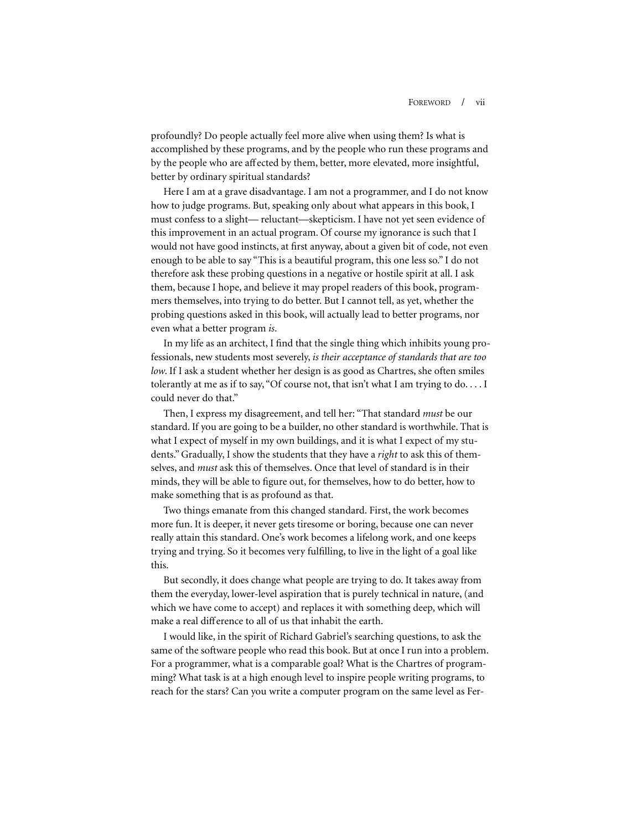profoundly? Do people actually feel more alive when using them? Is what is accomplished by these programs, and by the people who run these programs and by the people who are affected by them, better, more elevated, more insightful, better by ordinary spiritual standards?

Here I am at a grave disadvantage. I am not a programmer, and I do not know how to judge programs. But, speaking only about what appears in this book, I must confess to a slight— reluctant—skepticism. I have not yet seen evidence of this improvement in an actual program. Of course my ignorance is such that I would not have good instincts, at first anyway, about a given bit of code, not even enough to be able to say "This is a beautiful program, this one less so." I do not therefore ask these probing questions in a negative or hostile spirit at all. I ask them, because I hope, and believe it may propel readers of this book, programmers themselves, into trying to do better. But I cannot tell, as yet, whether the probing questions asked in this book, will actually lead to better programs, nor even what a better program *is*.

In my life as an architect, I find that the single thing which inhibits young professionals, new students most severely, *is their acceptance of standards that are too low*. If I ask a student whether her design is as good as Chartres, she often smiles tolerantly at me as if to say, "Of course not, that isn't what I am trying to do. . . . I could never do that."

Then, I express my disagreement, and tell her: "That standard *must* be our standard. If you are going to be a builder, no other standard is worthwhile. That is what I expect of myself in my own buildings, and it is what I expect of my students." Gradually, I show the students that they have a *right* to ask this of themselves, and *must* ask this of themselves. Once that level of standard is in their minds, they will be able to figure out, for themselves, how to do better, how to make something that is as profound as that.

Two things emanate from this changed standard. First, the work becomes more fun. It is deeper, it never gets tiresome or boring, because one can never really attain this standard. One's work becomes a lifelong work, and one keeps trying and trying. So it becomes very fulfilling, to live in the light of a goal like this.

But secondly, it does change what people are trying to do. It takes away from them the everyday, lower-level aspiration that is purely technical in nature, (and which we have come to accept) and replaces it with something deep, which will make a real difference to all of us that inhabit the earth.

I would like, in the spirit of Richard Gabriel's searching questions, to ask the same of the software people who read this book. But at once I run into a problem. For a programmer, what is a comparable goal? What is the Chartres of programming? What task is at a high enough level to inspire people writing programs, to reach for the stars? Can you write a computer program on the same level as Fer-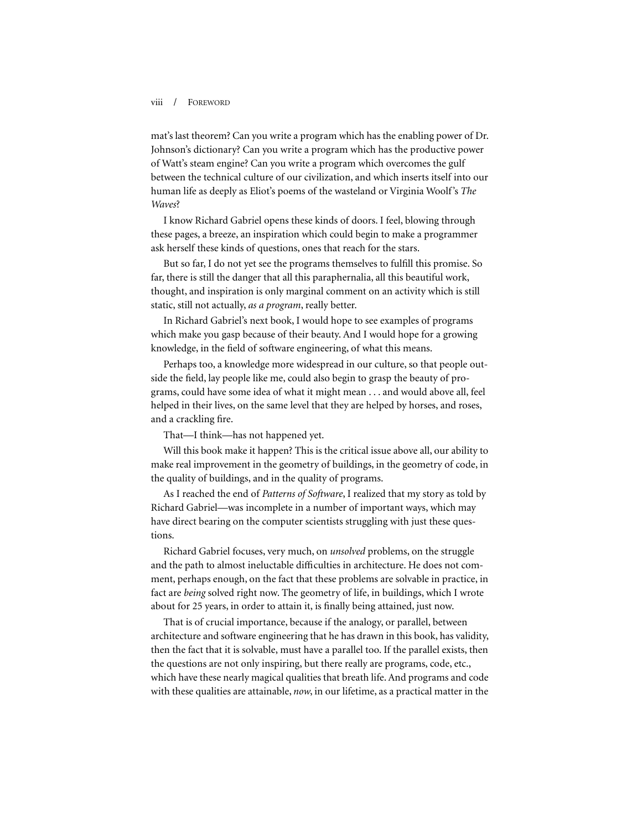## viii / FOREWORD

mat's last theorem? Can you write a program which has the enabling power of Dr. Johnson's dictionary? Can you write a program which has the productive power of Watt's steam engine? Can you write a program which overcomes the gulf between the technical culture of our civilization, and which inserts itself into our human life as deeply as Eliot's poems of the wasteland or Virginia Woolf's *The Waves*?

I know Richard Gabriel opens these kinds of doors. I feel, blowing through these pages, a breeze, an inspiration which could begin to make a programmer ask herself these kinds of questions, ones that reach for the stars.

But so far, I do not yet see the programs themselves to fulfill this promise. So far, there is still the danger that all this paraphernalia, all this beautiful work, thought, and inspiration is only marginal comment on an activity which is still static, still not actually, *as a program*, really better.

In Richard Gabriel's next book, I would hope to see examples of programs which make you gasp because of their beauty. And I would hope for a growing knowledge, in the field of software engineering, of what this means.

Perhaps too, a knowledge more widespread in our culture, so that people outside the field, lay people like me, could also begin to grasp the beauty of programs, could have some idea of what it might mean . . . and would above all, feel helped in their lives, on the same level that they are helped by horses, and roses, and a crackling fire.

That—I think—has not happened yet.

Will this book make it happen? This is the critical issue above all, our ability to make real improvement in the geometry of buildings, in the geometry of code, in the quality of buildings, and in the quality of programs.

As I reached the end of *Patterns of Software*, I realized that my story as told by Richard Gabriel—was incomplete in a number of important ways, which may have direct bearing on the computer scientists struggling with just these questions.

Richard Gabriel focuses, very much, on *unsolved* problems, on the struggle and the path to almost ineluctable difficulties in architecture. He does not comment, perhaps enough, on the fact that these problems are solvable in practice, in fact are *being* solved right now. The geometry of life, in buildings, which I wrote about for 25 years, in order to attain it, is finally being attained, just now.

That is of crucial importance, because if the analogy, or parallel, between architecture and software engineering that he has drawn in this book, has validity, then the fact that it is solvable, must have a parallel too. If the parallel exists, then the questions are not only inspiring, but there really are programs, code, etc., which have these nearly magical qualities that breath life. And programs and code with these qualities are attainable, *now*, in our lifetime, as a practical matter in the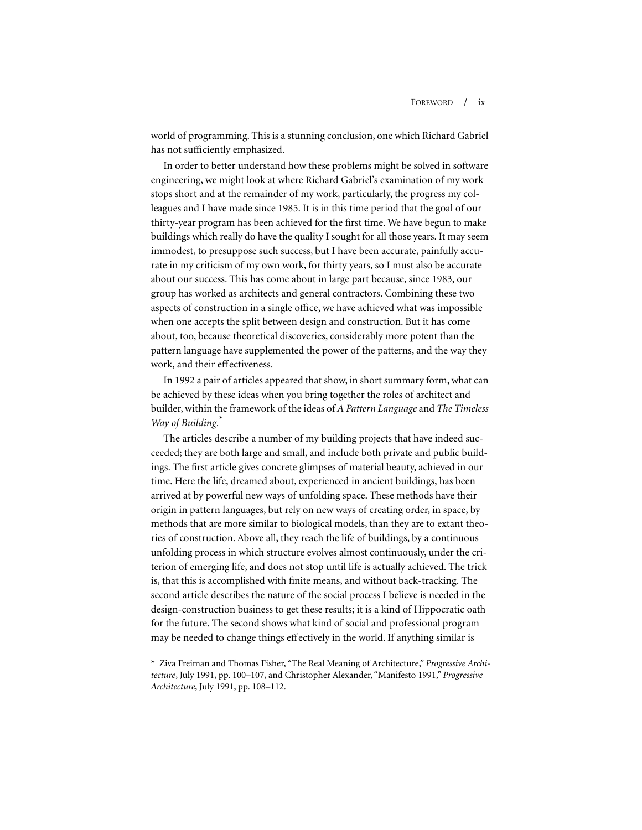world of programming. This is a stunning conclusion, one which Richard Gabriel has not sufficiently emphasized.

In order to better understand how these problems might be solved in software engineering, we might look at where Richard Gabriel's examination of my work stops short and at the remainder of my work, particularly, the progress my colleagues and I have made since 1985. It is in this time period that the goal of our thirty-year program has been achieved for the first time. We have begun to make buildings which really do have the quality I sought for all those years. It may seem immodest, to presuppose such success, but I have been accurate, painfully accurate in my criticism of my own work, for thirty years, so I must also be accurate about our success. This has come about in large part because, since 1983, our group has worked as architects and general contractors. Combining these two aspects of construction in a single office, we have achieved what was impossible when one accepts the split between design and construction. But it has come about, too, because theoretical discoveries, considerably more potent than the pattern language have supplemented the power of the patterns, and the way they work, and their effectiveness.

In 1992 a pair of articles appeared that show, in short summary form, what can be achieved by these ideas when you bring together the roles of architect and builder, within the framework of the ideas of *A Pattern Language* and *The Timeless Way of Building*. \*

The articles describe a number of my building projects that have indeed succeeded; they are both large and small, and include both private and public buildings. The first article gives concrete glimpses of material beauty, achieved in our time. Here the life, dreamed about, experienced in ancient buildings, has been arrived at by powerful new ways of unfolding space. These methods have their origin in pattern languages, but rely on new ways of creating order, in space, by methods that are more similar to biological models, than they are to extant theories of construction. Above all, they reach the life of buildings, by a continuous unfolding process in which structure evolves almost continuously, under the criterion of emerging life, and does not stop until life is actually achieved. The trick is, that this is accomplished with finite means, and without back-tracking. The second article describes the nature of the social process I believe is needed in the design-construction business to get these results; it is a kind of Hippocratic oath for the future. The second shows what kind of social and professional program may be needed to change things effectively in the world. If anything similar is

<sup>\*</sup> Ziva Freiman and Thomas Fisher, "The Real Meaning of Architecture," *Progressive Architecture*, July 1991, pp. 100–107, and Christopher Alexander, "Manifesto 1991," *Progressive Architecture*, July 1991, pp. 108–112.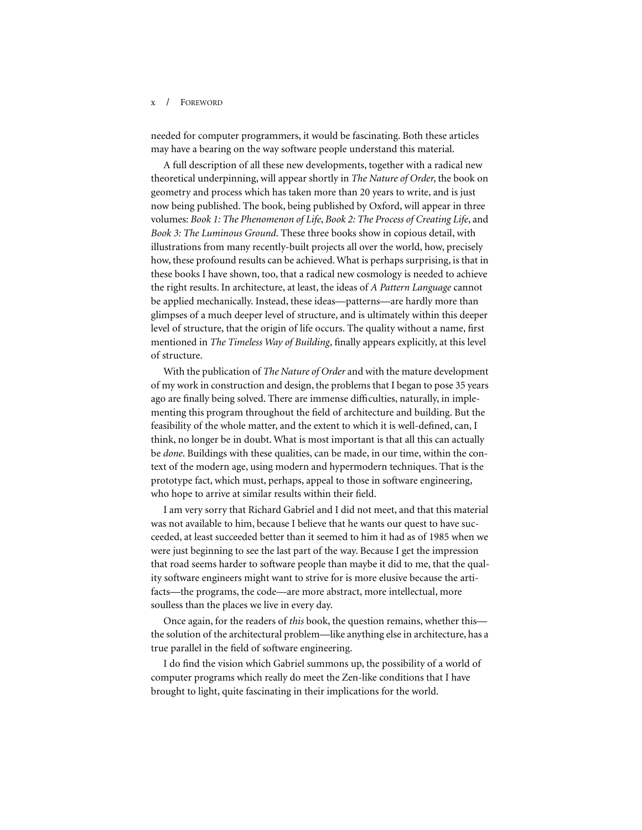## x / FOREWORD

needed for computer programmers, it would be fascinating. Both these articles may have a bearing on the way software people understand this material.

A full description of all these new developments, together with a radical new theoretical underpinning, will appear shortly in *The Nature of Order*, the book on geometry and process which has taken more than 20 years to write, and is just now being published. The book, being published by Oxford, will appear in three volumes: *Book 1: The Phenomenon of Life*, *Book 2: The Process of Creating Life*, and *Book 3: The Luminous Ground*. These three books show in copious detail, with illustrations from many recently-built projects all over the world, how, precisely how, these profound results can be achieved. What is perhaps surprising, is that in these books I have shown, too, that a radical new cosmology is needed to achieve the right results. In architecture, at least, the ideas of *A Pattern Language* cannot be applied mechanically. Instead, these ideas—patterns—are hardly more than glimpses of a much deeper level of structure, and is ultimately within this deeper level of structure, that the origin of life occurs. The quality without a name, first mentioned in *The Timeless Way of Building*, finally appears explicitly, at this level of structure.

With the publication of *The Nature of Order* and with the mature development of my work in construction and design, the problems that I began to pose 35 years ago are finally being solved. There are immense difficulties, naturally, in implementing this program throughout the field of architecture and building. But the feasibility of the whole matter, and the extent to which it is well-defined, can, I think, no longer be in doubt. What is most important is that all this can actually be *done*. Buildings with these qualities, can be made, in our time, within the context of the modern age, using modern and hypermodern techniques. That is the prototype fact, which must, perhaps, appeal to those in software engineering, who hope to arrive at similar results within their field.

I am very sorry that Richard Gabriel and I did not meet, and that this material was not available to him, because I believe that he wants our quest to have succeeded, at least succeeded better than it seemed to him it had as of 1985 when we were just beginning to see the last part of the way. Because I get the impression that road seems harder to software people than maybe it did to me, that the quality software engineers might want to strive for is more elusive because the artifacts—the programs, the code—are more abstract, more intellectual, more soulless than the places we live in every day.

Once again, for the readers of *this* book, the question remains, whether this the solution of the architectural problem—like anything else in architecture, has a true parallel in the field of software engineering.

I do find the vision which Gabriel summons up, the possibility of a world of computer programs which really do meet the Zen-like conditions that I have brought to light, quite fascinating in their implications for the world.